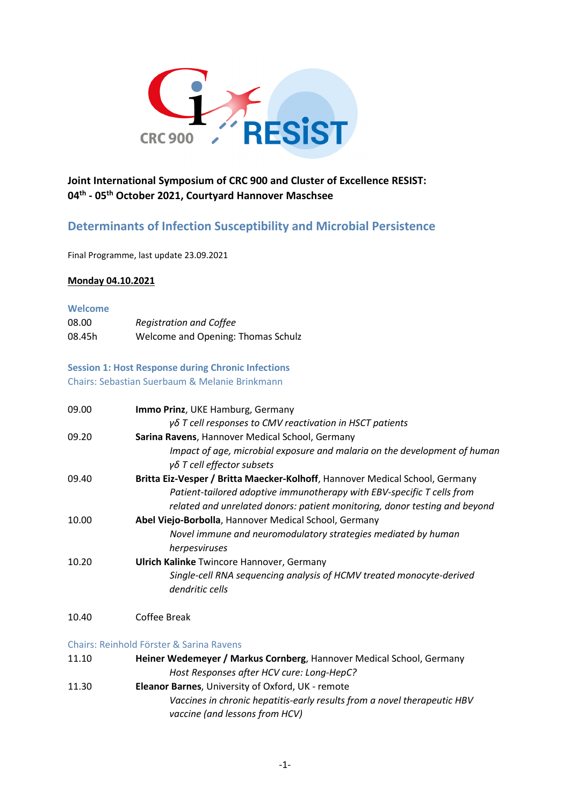

## **Joint International Symposium of CRC 900 and Cluster of Excellence RESIST: 04th - 05th October 2021, Courtyard Hannover Maschsee**

# **Determinants of Infection Susceptibility and Microbial Persistence**

Final Programme, last update 23.09.2021

### **Monday 04.10.2021**

#### **Welcome**

| 08.00  | <b>Registration and Coffee</b>     |
|--------|------------------------------------|
| 08.45h | Welcome and Opening: Thomas Schulz |

## **Session 1: Host Response during Chronic Infections** Chairs: Sebastian Suerbaum & Melanie Brinkmann

| 09.00 | Immo Prinz, UKE Hamburg, Germany                                                                          |
|-------|-----------------------------------------------------------------------------------------------------------|
|       | γδ T cell responses to CMV reactivation in HSCT patients                                                  |
| 09.20 | Sarina Ravens, Hannover Medical School, Germany                                                           |
|       | Impact of age, microbial exposure and malaria on the development of human<br>$γδ$ T cell effector subsets |
| 09.40 | Britta Eiz-Vesper / Britta Maecker-Kolhoff, Hannover Medical School, Germany                              |
|       | Patient-tailored adoptive immunotherapy with EBV-specific T cells from                                    |
|       | related and unrelated donors: patient monitoring, donor testing and beyond                                |
| 10.00 | Abel Viejo-Borbolla, Hannover Medical School, Germany                                                     |
|       | Novel immune and neuromodulatory strategies mediated by human                                             |
|       | herpesviruses                                                                                             |
| 10.20 | <b>Ulrich Kalinke Twincore Hannover, Germany</b>                                                          |
|       | Single-cell RNA sequencing analysis of HCMV treated monocyte-derived<br>dendritic cells                   |
|       |                                                                                                           |

### 10.40 Coffee Break

#### Chairs: Reinhold Förster & Sarina Ravens

| 11.10 | Heiner Wedemeyer / Markus Cornberg, Hannover Medical School, Germany |
|-------|----------------------------------------------------------------------|
|       | Host Responses after HCV cure: Long-HepC?                            |

11.30 **Eleanor Barnes**, University of Oxford, UK - remote *Vaccines in chronic hepatitis-early results from a novel therapeutic HBV vaccine (and lessons from HCV)*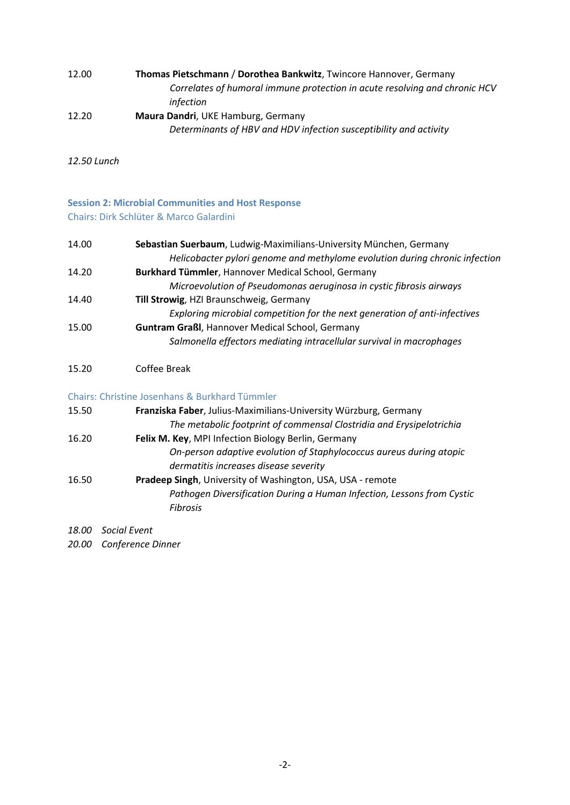| Thomas Pietschmann / Dorothea Bankwitz, Twincore Hannover, Germany         |
|----------------------------------------------------------------------------|
| Correlates of humoral immune protection in acute resolving and chronic HCV |
| infection                                                                  |
| Maura Dandri, UKE Hamburg, Germany                                         |
| Determinants of HBV and HDV infection susceptibility and activity          |
|                                                                            |

*12.50 Lunch*

## **Session 2: Microbial Communities and Host Response** Chairs: Dirk Schlüter & Marco Galardini

| 14.00 | Sebastian Suerbaum, Ludwig-Maximilians-University München, Germany          |
|-------|-----------------------------------------------------------------------------|
|       | Helicobacter pylori genome and methylome evolution during chronic infection |
| 14.20 | Burkhard Tümmler, Hannover Medical School, Germany                          |
|       | Microevolution of Pseudomonas aeruginosa in cystic fibrosis airways         |
| 14.40 | Till Strowig, HZI Braunschweig, Germany                                     |
|       | Exploring microbial competition for the next generation of anti-infectives  |
| 15.00 | <b>Guntram Graßl, Hannover Medical School, Germany</b>                      |
|       | Salmonella effectors mediating intracellular survival in macrophages        |
|       |                                                                             |

## 15.20 Coffee Break

## Chairs: Christine Josenhans & Burkhard Tümmler

| 15.50 | Franziska Faber, Julius-Maximilians-University Würzburg, Germany       |
|-------|------------------------------------------------------------------------|
|       | The metabolic footprint of commensal Clostridia and Erysipelotrichia   |
| 16.20 | Felix M. Key, MPI Infection Biology Berlin, Germany                    |
|       | On-person adaptive evolution of Staphylococcus aureus during atopic    |
|       | dermatitis increases disease severity                                  |
| 16.50 | Pradeep Singh, University of Washington, USA, USA - remote             |
|       | Pathogen Diversification During a Human Infection, Lessons from Cystic |
|       | Fibrosis                                                               |

*18.00 Social Event*

*20.00 Conference Dinner*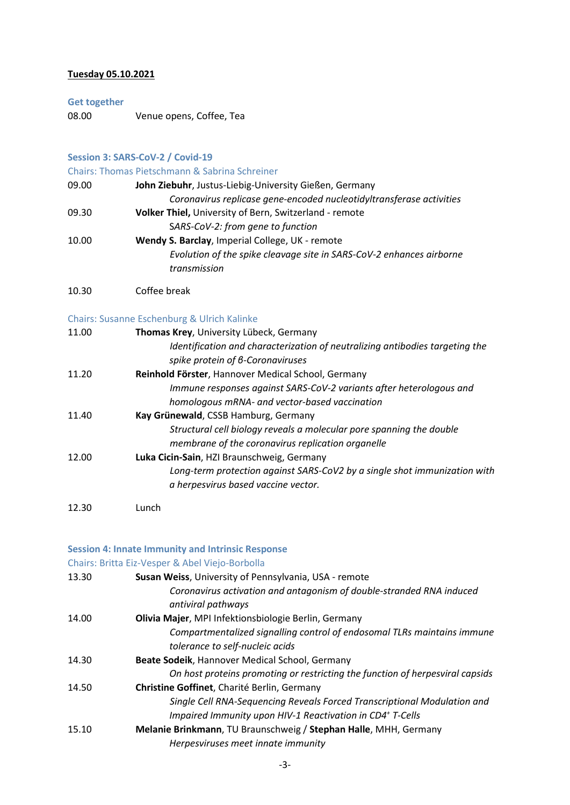## **Tuesday 05.10.2021**

#### **Get together**

08.00 Venue opens, Coffee, Tea

### **Session 3: SARS-CoV-2 / Covid-19**

Chairs: Thomas Pietschmann & Sabrina Schreiner

| 09.00 | John Ziebuhr, Justus-Liebig-University Gießen, Germany               |
|-------|----------------------------------------------------------------------|
|       | Coronavirus replicase gene-encoded nucleotidyltransferase activities |
| 09.30 | Volker Thiel, University of Bern, Switzerland - remote               |
|       | SARS-CoV-2: from gene to function                                    |
| 10.00 | Wendy S. Barclay, Imperial College, UK - remote                      |
|       | Evolution of the spike cleavage site in SARS-CoV-2 enhances airborne |
|       | transmission                                                         |

10.30 Coffee break

### Chairs: Susanne Eschenburg & Ulrich Kalinke

| 11.00 | Thomas Krey, University Lübeck, Germany                                      |
|-------|------------------------------------------------------------------------------|
|       | Identification and characterization of neutralizing antibodies targeting the |
|       | spike protein of 6-Coronaviruses                                             |
| 11.20 | Reinhold Förster, Hannover Medical School, Germany                           |
|       | Immune responses against SARS-CoV-2 variants after heterologous and          |
|       | homologous mRNA- and vector-based vaccination                                |
| 11.40 | Kay Grünewald, CSSB Hamburg, Germany                                         |
|       | Structural cell biology reveals a molecular pore spanning the double         |
|       | membrane of the coronavirus replication organelle                            |
| 12.00 | Luka Cicin-Sain, HZI Braunschweig, Germany                                   |
|       | Long-term protection against SARS-CoV2 by a single shot immunization with    |
|       | a herpesvirus based vaccine vector.                                          |
|       |                                                                              |

12.30 Lunch

### **Session 4: Innate Immunity and Intrinsic Response**

### Chairs: Britta Eiz-Vesper & Abel Viejo-Borbolla

| 13.30 | Susan Weiss, University of Pennsylvania, USA - remote                                      |
|-------|--------------------------------------------------------------------------------------------|
|       | Coronavirus activation and antagonism of double-stranded RNA induced<br>antiviral pathways |
| 14.00 | Olivia Majer, MPI Infektionsbiologie Berlin, Germany                                       |
|       | Compartmentalized signalling control of endosomal TLRs maintains immune                    |
|       | tolerance to self-nucleic acids                                                            |
| 14.30 | Beate Sodeik, Hannover Medical School, Germany                                             |
|       | On host proteins promoting or restricting the function of herpesviral capsids              |
| 14.50 | Christine Goffinet, Charité Berlin, Germany                                                |
|       | Single Cell RNA-Sequencing Reveals Forced Transcriptional Modulation and                   |
|       | Impaired Immunity upon HIV-1 Reactivation in CD4+ T-Cells                                  |
| 15.10 | Melanie Brinkmann, TU Braunschweig / Stephan Halle, MHH, Germany                           |
|       | Herpesviruses meet innate immunity                                                         |